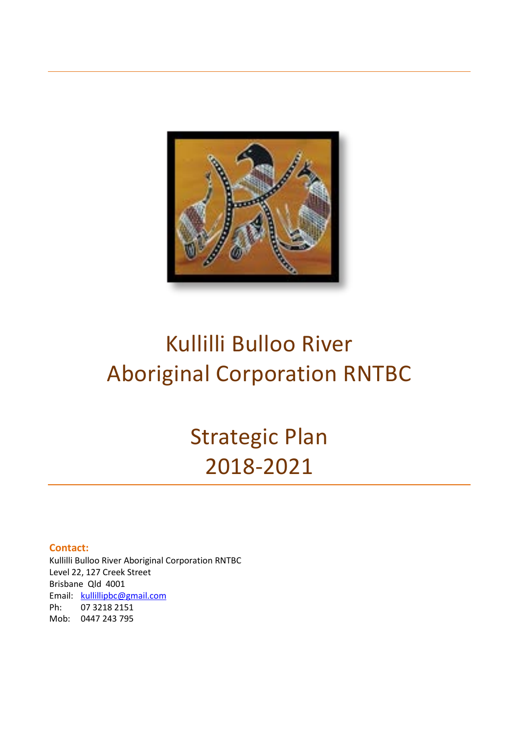

# Kullilli Bulloo River Aboriginal Corporation RNTBC

# Strategic Plan 2018-2021

#### **Contact:**

Kullilli Bulloo River Aboriginal Corporation RNTBC Level 22, 127 Creek Street Brisbane Qld 4001 Email: [kullillipbc@gmail.com](mailto:kullillipbc@gmail.com) Ph: 07 3218 2151 Mob: 0447 243 795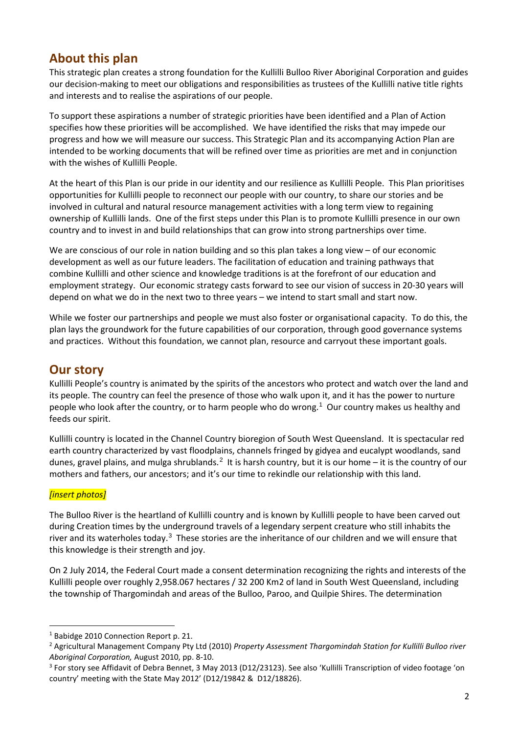## **About this plan**

This strategic plan creates a strong foundation for the Kullilli Bulloo River Aboriginal Corporation and guides our decision-making to meet our obligations and responsibilities as trustees of the Kullilli native title rights and interests and to realise the aspirations of our people.

To support these aspirations a number of strategic priorities have been identified and a Plan of Action specifies how these priorities will be accomplished. We have identified the risks that may impede our progress and how we will measure our success. This Strategic Plan and its accompanying Action Plan are intended to be working documents that will be refined over time as priorities are met and in conjunction with the wishes of Kullilli People.

At the heart of this Plan is our pride in our identity and our resilience as Kullilli People. This Plan prioritises opportunities for Kullilli people to reconnect our people with our country, to share our stories and be involved in cultural and natural resource management activities with a long term view to regaining ownership of Kullilli lands. One of the first steps under this Plan is to promote Kullilli presence in our own country and to invest in and build relationships that can grow into strong partnerships over time.

We are conscious of our role in nation building and so this plan takes a long view – of our economic development as well as our future leaders. The facilitation of education and training pathways that combine Kullilli and other science and knowledge traditions is at the forefront of our education and employment strategy. Our economic strategy casts forward to see our vision of success in 20-30 years will depend on what we do in the next two to three years – we intend to start small and start now.

While we foster our partnerships and people we must also foster or organisational capacity. To do this, the plan lays the groundwork for the future capabilities of our corporation, through good governance systems and practices. Without this foundation, we cannot plan, resource and carryout these important goals.

## **Our story**

Kullilli People's country is animated by the spirits of the ancestors who protect and watch over the land and its people. The country can feel the presence of those who walk upon it, and it has the power to nurture people who look after the country, or to harm people who do wrong. [1](#page-1-0) Our country makes us healthy and feeds our spirit.

Kullilli country is located in the Channel Country bioregion of South West Queensland. It is spectacular red earth country characterized by vast floodplains, channels fringed by gidyea and eucalypt woodlands, sand dunes, gravel plains, and mulga shrublands.<sup>[2](#page-1-1)</sup> It is harsh country, but it is our home – it is the country of our mothers and fathers, our ancestors; and it's our time to rekindle our relationship with this land.

#### *[insert photos]*

The Bulloo River is the heartland of Kullilli country and is known by Kullilli people to have been carved out during Creation times by the underground travels of a legendary serpent creature who still inhabits the river and its waterholes today.<sup>[3](#page-1-2)</sup> These stories are the inheritance of our children and we will ensure that this knowledge is their strength and joy.

On 2 July 2014, the Federal Court made a consent determination recognizing the rights and interests of the Kullilli people over roughly 2,958.067 hectares / 32 200 Km2 of land in South West Queensland, including the township of Thargomindah and areas of the Bulloo, Paroo, and Quilpie Shires. The determination

<span id="page-1-1"></span><span id="page-1-0"></span><sup>&</sup>lt;sup>1</sup> Babidge 2010 Connection Report p. 21.<br><sup>2</sup> Agricultural Management Company Pty Ltd (2010) *Property Assessment Thargomindah Station for Kullilli Bulloo river* 

<span id="page-1-2"></span>*Aboriginal Corporation, August 2010, pp. 8-10.*<br><sup>3</sup> For story see Affidavit of Debra Bennet, 3 May 2013 (D12/23123). See also 'Kullilli Transcription of video footage 'on country' meeting with the State May 2012' (D12/19842 & D12/18826).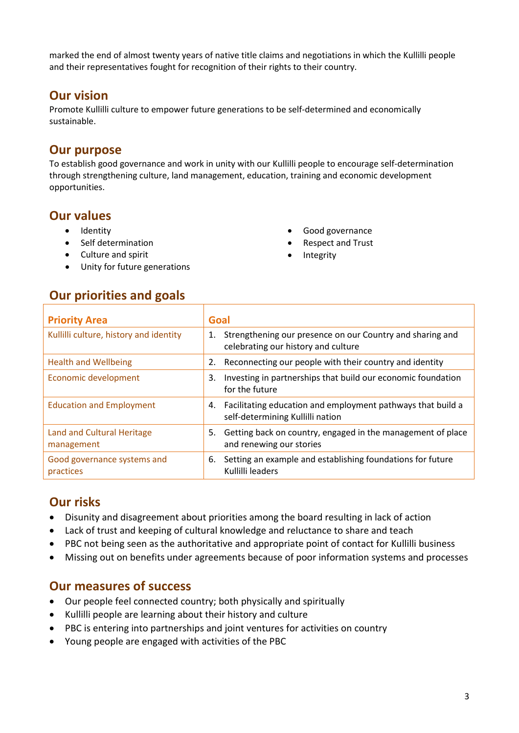marked the end of almost twenty years of native title claims and negotiations in which the Kullilli people and their representatives fought for recognition of their rights to their country.

#### **Our vision**

Promote Kullilli culture to empower future generations to be self-determined and economically sustainable.

#### **Our purpose**

To establish good governance and work in unity with our Kullilli people to encourage self-determination through strengthening culture, land management, education, training and economic development opportunities.

## **Our values**

- Identity
- Self determination
- Culture and spirit
- Unity for future generations
- Good governance
- Respect and Trust
- **Integrity**

#### **Our priorities and goals**

| <b>Priority Area</b>                            | Goal                                                                                                   |
|-------------------------------------------------|--------------------------------------------------------------------------------------------------------|
| Kullilli culture, history and identity          | Strengthening our presence on our Country and sharing and<br>1.<br>celebrating our history and culture |
| <b>Health and Wellbeing</b>                     | Reconnecting our people with their country and identity<br>2.                                          |
| Economic development                            | Investing in partnerships that build our economic foundation<br>3.<br>for the future                   |
| <b>Education and Employment</b>                 | Facilitating education and employment pathways that build a<br>4.<br>self-determining Kullilli nation  |
| <b>Land and Cultural Heritage</b><br>management | Getting back on country, engaged in the management of place<br>5.<br>and renewing our stories          |
| Good governance systems and<br>practices        | Setting an example and establishing foundations for future<br>6.<br>Kullilli leaders                   |

## **Our risks**

- Disunity and disagreement about priorities among the board resulting in lack of action
- Lack of trust and keeping of cultural knowledge and reluctance to share and teach
- PBC not being seen as the authoritative and appropriate point of contact for Kullilli business
- Missing out on benefits under agreements because of poor information systems and processes

#### **Our measures of success**

- Our people feel connected country; both physically and spiritually
- Kullilli people are learning about their history and culture
- PBC is entering into partnerships and joint ventures for activities on country
- Young people are engaged with activities of the PBC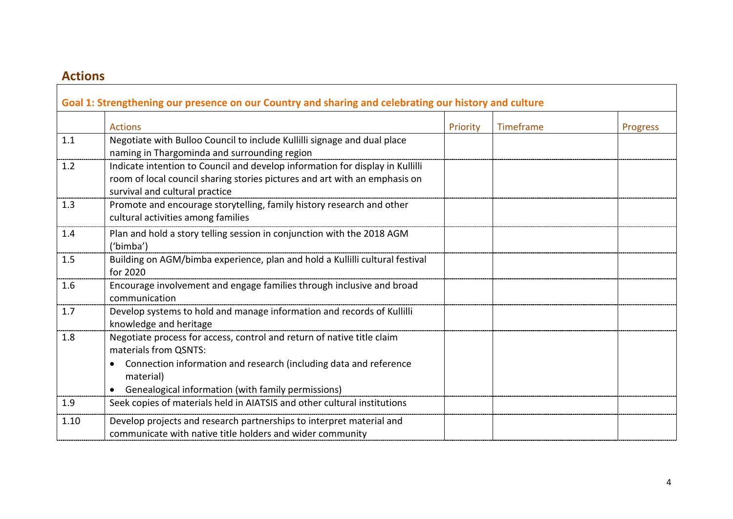# **Actions**

 $\mathbf{r}$ 

|      | Goal 1: Strengthening our presence on our Country and sharing and celebrating our history and culture                                                                                                                                   |          |           |                 |
|------|-----------------------------------------------------------------------------------------------------------------------------------------------------------------------------------------------------------------------------------------|----------|-----------|-----------------|
|      | <b>Actions</b>                                                                                                                                                                                                                          | Priority | Timeframe | <b>Progress</b> |
| 1.1  | Negotiate with Bulloo Council to include Kullilli signage and dual place<br>naming in Thargominda and surrounding region                                                                                                                |          |           |                 |
| 1.2  | Indicate intention to Council and develop information for display in Kullilli<br>room of local council sharing stories pictures and art with an emphasis on<br>survival and cultural practice                                           |          |           |                 |
| 1.3  | Promote and encourage storytelling, family history research and other<br>cultural activities among families                                                                                                                             |          |           |                 |
| 1.4  | Plan and hold a story telling session in conjunction with the 2018 AGM<br>('bimba')                                                                                                                                                     |          |           |                 |
| 1.5  | Building on AGM/bimba experience, plan and hold a Kullilli cultural festival<br>for 2020                                                                                                                                                |          |           |                 |
| 1.6  | Encourage involvement and engage families through inclusive and broad<br>communication                                                                                                                                                  |          |           |                 |
| 1.7  | Develop systems to hold and manage information and records of Kullilli<br>knowledge and heritage                                                                                                                                        |          |           |                 |
| 1.8  | Negotiate process for access, control and return of native title claim<br>materials from QSNTS:<br>Connection information and research (including data and reference<br>material)<br>Genealogical information (with family permissions) |          |           |                 |
| 1.9  | Seek copies of materials held in AIATSIS and other cultural institutions                                                                                                                                                                |          |           |                 |
| 1.10 | Develop projects and research partnerships to interpret material and<br>communicate with native title holders and wider community                                                                                                       |          |           |                 |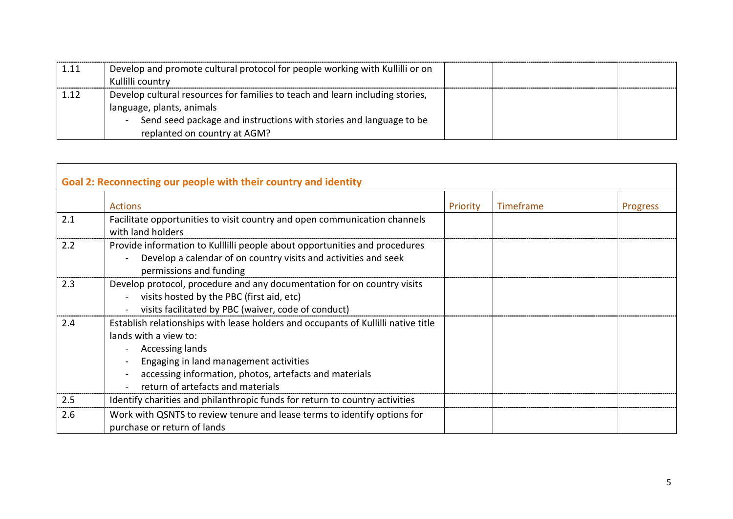| 1.11 | Develop and promote cultural protocol for people working with Kullilli or on<br>Kullilli country                                                                                                                 |  |  |
|------|------------------------------------------------------------------------------------------------------------------------------------------------------------------------------------------------------------------|--|--|
| 1.12 | Develop cultural resources for families to teach and learn including stories,<br>language, plants, animals<br>Send seed package and instructions with stories and language to be<br>replanted on country at AGM? |  |  |

| Goal 2: Reconnecting our people with their country and identity |                                                                                                                                                                                                                                                                        |          |           |          |
|-----------------------------------------------------------------|------------------------------------------------------------------------------------------------------------------------------------------------------------------------------------------------------------------------------------------------------------------------|----------|-----------|----------|
|                                                                 | <b>Actions</b>                                                                                                                                                                                                                                                         | Priority | Timeframe | Progress |
| 2.1                                                             | Facilitate opportunities to visit country and open communication channels<br>with land holders                                                                                                                                                                         |          |           |          |
| 2.2                                                             | Provide information to Kullilli people about opportunities and procedures<br>Develop a calendar of on country visits and activities and seek<br>permissions and funding                                                                                                |          |           |          |
| 2.3                                                             | Develop protocol, procedure and any documentation for on country visits<br>visits hosted by the PBC (first aid, etc)<br>$\blacksquare$<br>visits facilitated by PBC (waiver, code of conduct)                                                                          |          |           |          |
| 2.4                                                             | Establish relationships with lease holders and occupants of Kullilli native title<br>lands with a view to:<br>Accessing lands<br>Engaging in land management activities<br>accessing information, photos, artefacts and materials<br>return of artefacts and materials |          |           |          |
| 2.5                                                             | Identify charities and philanthropic funds for return to country activities                                                                                                                                                                                            |          |           |          |
| 2.6                                                             | Work with QSNTS to review tenure and lease terms to identify options for<br>purchase or return of lands                                                                                                                                                                |          |           |          |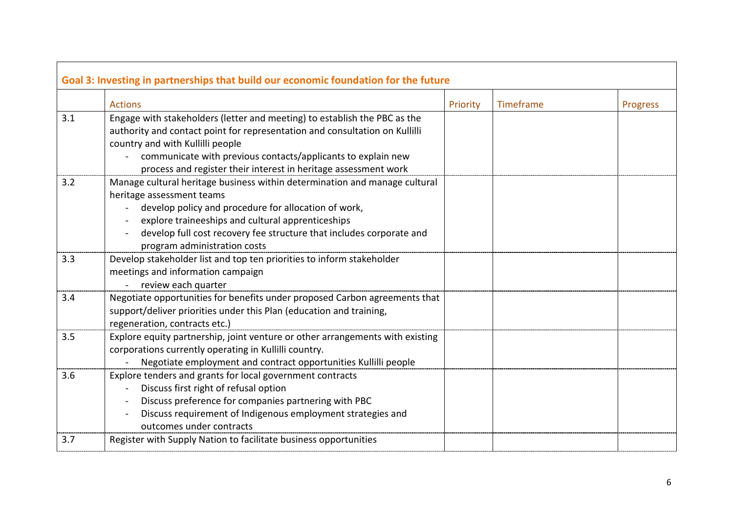|     | Goal 3: Investing in partnerships that build our economic foundation for the future                                                                                                                                                                                                                                          |          |           |          |
|-----|------------------------------------------------------------------------------------------------------------------------------------------------------------------------------------------------------------------------------------------------------------------------------------------------------------------------------|----------|-----------|----------|
|     | <b>Actions</b>                                                                                                                                                                                                                                                                                                               | Priority | Timeframe | Progress |
| 3.1 | Engage with stakeholders (letter and meeting) to establish the PBC as the<br>authority and contact point for representation and consultation on Kullilli<br>country and with Kullilli people                                                                                                                                 |          |           |          |
|     | - communicate with previous contacts/applicants to explain new<br>process and register their interest in heritage assessment work                                                                                                                                                                                            |          |           |          |
| 3.2 | Manage cultural heritage business within determination and manage cultural<br>heritage assessment teams<br>develop policy and procedure for allocation of work,<br>explore traineeships and cultural apprenticeships<br>develop full cost recovery fee structure that includes corporate and<br>program administration costs |          |           |          |
| 3.3 | Develop stakeholder list and top ten priorities to inform stakeholder<br>meetings and information campaign<br>review each quarter                                                                                                                                                                                            |          |           |          |
| 3.4 | Negotiate opportunities for benefits under proposed Carbon agreements that<br>support/deliver priorities under this Plan (education and training,<br>regeneration, contracts etc.)                                                                                                                                           |          |           |          |
| 3.5 | Explore equity partnership, joint venture or other arrangements with existing<br>corporations currently operating in Kullilli country.<br>Negotiate employment and contract opportunities Kullilli people                                                                                                                    |          |           |          |
| 3.6 | Explore tenders and grants for local government contracts<br>Discuss first right of refusal option<br>Discuss preference for companies partnering with PBC<br>Discuss requirement of Indigenous employment strategies and<br>outcomes under contracts                                                                        |          |           |          |
| 3.7 | Register with Supply Nation to facilitate business opportunities                                                                                                                                                                                                                                                             |          |           |          |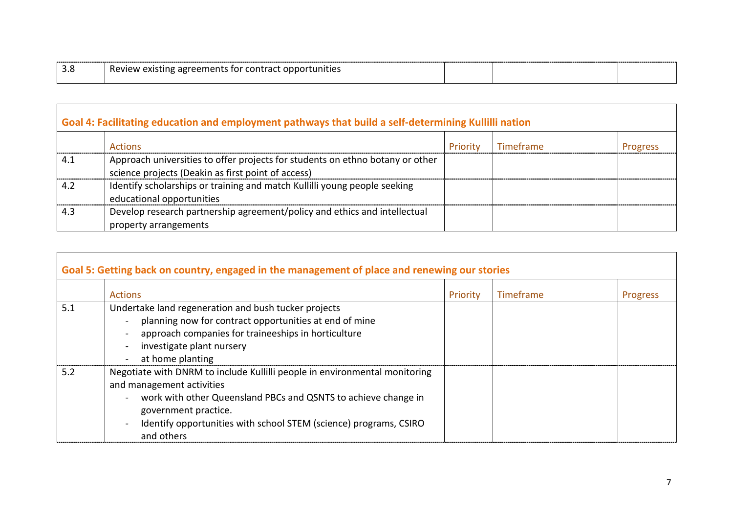|  | <b>Revic</b><br>≅unities i<br>.<br>. CALJULIE |  |  |  |
|--|-----------------------------------------------|--|--|--|
|--|-----------------------------------------------|--|--|--|

Г

| Goal 4: Facilitating education and employment pathways that build a self-determining Kullilli nation |                                                                                                                                     |          |           |                 |
|------------------------------------------------------------------------------------------------------|-------------------------------------------------------------------------------------------------------------------------------------|----------|-----------|-----------------|
|                                                                                                      | Actions                                                                                                                             | Priority | Timeframe | <b>Progress</b> |
| 4.1                                                                                                  | Approach universities to offer projects for students on ethno botany or other<br>science projects (Deakin as first point of access) |          |           |                 |
| 4.2                                                                                                  | Identify scholarships or training and match Kullilli young people seeking<br>educational opportunities                              |          |           |                 |
| 4.3                                                                                                  | Develop research partnership agreement/policy and ethics and intellectual<br>property arrangements                                  |          |           |                 |

|     | Goal 5: Getting back on country, engaged in the management of place and renewing our stories                                                                                                                                                                                                                             |          |           |                 |
|-----|--------------------------------------------------------------------------------------------------------------------------------------------------------------------------------------------------------------------------------------------------------------------------------------------------------------------------|----------|-----------|-----------------|
|     | <b>Actions</b>                                                                                                                                                                                                                                                                                                           | Priority | Timeframe | <b>Progress</b> |
| 5.1 | Undertake land regeneration and bush tucker projects<br>planning now for contract opportunities at end of mine<br>$\blacksquare$<br>approach companies for traineeships in horticulture<br>investigate plant nursery<br>at home planting                                                                                 |          |           |                 |
| 5.2 | Negotiate with DNRM to include Kullilli people in environmental monitoring<br>and management activities<br>work with other Queensland PBCs and QSNTS to achieve change in<br>$\blacksquare$<br>government practice.<br>Identify opportunities with school STEM (science) programs, CSIRO<br>$\blacksquare$<br>and others |          |           |                 |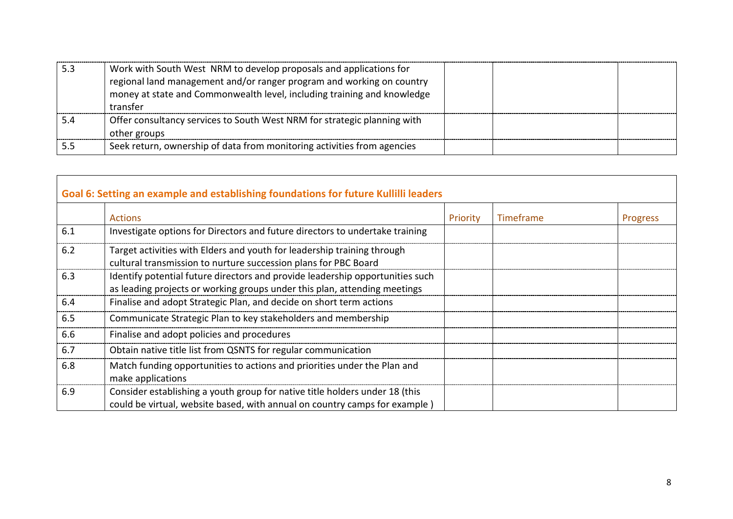|     | Work with South West NRM to develop proposals and applications for<br>regional land management and/or ranger program and working on country<br>money at state and Commonwealth level, including training and knowledge<br>transfer |  |  |
|-----|------------------------------------------------------------------------------------------------------------------------------------------------------------------------------------------------------------------------------------|--|--|
| 5.4 | Offer consultancy services to South West NRM for strategic planning with<br>other groups                                                                                                                                           |  |  |
|     | Seek return, ownership of data from monitoring activities from agencies                                                                                                                                                            |  |  |

|     | Goal 6: Setting an example and establishing foundations for future Kullilli leaders                                                                        |          |           |          |
|-----|------------------------------------------------------------------------------------------------------------------------------------------------------------|----------|-----------|----------|
|     | <b>Actions</b>                                                                                                                                             | Priority | Timeframe | Progress |
| 6.1 | Investigate options for Directors and future directors to undertake training                                                                               |          |           |          |
| 6.2 | Target activities with Elders and youth for leadership training through<br>cultural transmission to nurture succession plans for PBC Board                 |          |           |          |
| 6.3 | Identify potential future directors and provide leadership opportunities such<br>as leading projects or working groups under this plan, attending meetings |          |           |          |
| 6.4 | Finalise and adopt Strategic Plan, and decide on short term actions                                                                                        |          |           |          |
| 6.5 | Communicate Strategic Plan to key stakeholders and membership                                                                                              |          |           |          |
| 6.6 | Finalise and adopt policies and procedures                                                                                                                 |          |           |          |
| 6.7 | Obtain native title list from QSNTS for regular communication                                                                                              |          |           |          |
| 6.8 | Match funding opportunities to actions and priorities under the Plan and<br>make applications                                                              |          |           |          |
| 6.9 | Consider establishing a youth group for native title holders under 18 (this<br>could be virtual, website based, with annual on country camps for example)  |          |           |          |